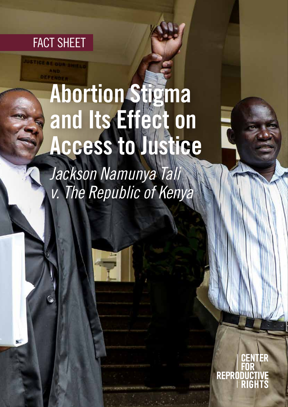### FACT SHEET

### **DEFENDE Abortion Stigma and Its Effect on Access to Justice**

*Jackson Namunya Tali v. The Republic of Kenya*

> **CENTER** REPRODUCTIVE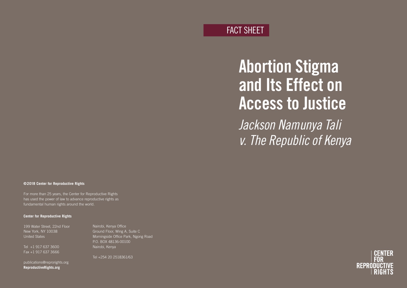#### **©2018 Center for Reproductive Rights**

For more than 25 years, the Center for Reproductive Rights has used the power of law to advance reproductive rights as fundamental human rights around the world.

#### **Center for Reproductive Rights**

199 Water Street, 22nd Floor New York, NY 10038 United States

Tel +1 917 637 3600 Fax +1 917 637 3666

publications@reprorights.org **ReproductiveRights.org**

Nairobi, Kenya Office Ground Floor, Wing A, Suite C Morningside Office Park, Ngong Road P.O. BOX 48136-00100 Nairobi, Kenya

Tel +254 20 2518361/63

**CENTER REPRODUCT** 

# **Abortion Stigma and Its Effect on Access to Justice**

### *Jackson Namunya Tali v. The Republic of Kenya*

### FACT SHEET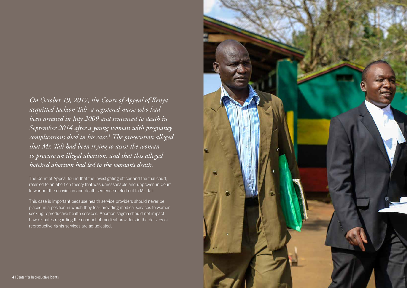*On October 19, 2017, the Court of Appeal of Kenya acquitted Jackson Tali, a registered nurse who had been arrested in July 2009 and sentenced to death in September 2014 after a young woman with pregnancy complications died in his care.1 The prosecution alleged that Mr. Tali had been trying to assist the woman to procure an illegal abortion, and that this alleged botched abortion had led to the woman's death.* 

The Court of Appeal found that the investigating officer and the trial court, referred to an abortion theory that was unreasonable and unproven in Court to warrant the conviction and death sentence meted out to Mr. Tali.

This case is important because health service providers should never be placed in a position in which they fear providing medical services to women seeking reproductive health services. Abortion stigma should not impact how disputes regarding the conduct of medical providers in the delivery of reproductive rights services are adjudicated.

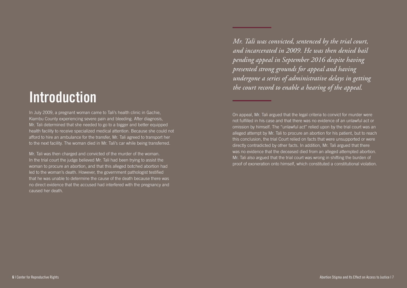# **Introduction**

In July 2009, a pregnant woman came to Tali's health clinic in Gachie, Kiambu County experiencing severe pain and bleeding. After diagnosis, Mr. Tali determined that she needed to go to a bigger and better equipped health facility to receive specialized medical attention. Because she could not afford to hire an ambulance for the transfer, Mr. Tali agreed to transport her to the next facility. The woman died in Mr. Tali's car while being transferred.

Mr. Tali was then charged and convicted of the murder of the woman. In the trial court the judge believed Mr. Tali had been trying to assist the woman to procure an abortion, and that this alleged botched abortion had led to the woman's death. However, the government pathologist testified that he was unable to determine the cause of the death because there was no direct evidence that the accused had interfered with the pregnancy and caused her death.

On appeal, Mr. Tali argued that the legal criteria to convict for murder were not fulfilled in his case and that there was no evidence of an unlawful act or omission by himself. The "unlawful act" relied upon by the trial court was an alleged attempt by Mr. Tali to procure an abortion for his patient, but to reach this conclusion, the trial Court relied on facts that were unsupported or were directly contradicted by other facts. In addition, Mr. Tali argued that there was no evidence that the deceased died from an alleged attempted abortion. Mr. Tali also argued that the trial court was wrong in shifting the burden of proof of exoneration onto himself, which constituted a constitutional violation.

*Mr. Tali was convicted, sentenced by the trial court, and incarcerated in 2009. He was then denied bail pending appeal in September 2016 despite having presented strong grounds for appeal and having undergone a series of administrative delays in getting the court record to enable a hearing of the appeal.*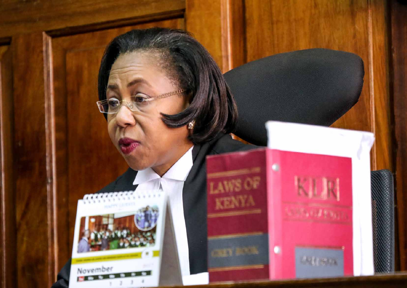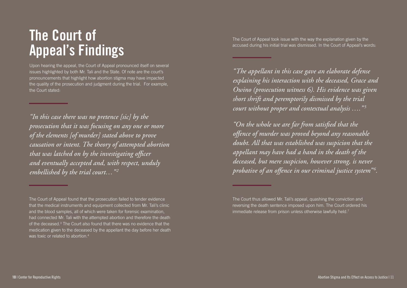# **The Court of Appeal's Findings**

Upon hearing the appeal, the Court of Appeal pronounced itself on several issues highlighted by both Mr. Tali and the State. Of note are the court's pronouncements that highlight how abortion stigma may have impacted the quality of the prosecution and judgment during the trial. For example, the Court stated:

*"In this case there was no pretence [sic] by the prosecution that it was focusing on any one or more of the elements [of murder] stated above to prove causation or intent. The theory of attempted abortion that was latched on by the investigating officer and eventually accepted and, with respect, unduly embellished by the trial court…" <sup>2</sup>*

The Court of Appeal took issue with the way the explanation given by the accused during his initial trial was dismissed. In the Court of Appeal's words:

*"The appellant in this case gave an elaborate defense explaining his interaction with the deceased, Grace and Owino (prosecution witness 6). His evidence was given short shrift and peremptorily dismissed by the trial court without proper and contextual analysis …." <sup>5</sup>*

*"On the whole we are far from satisfied that the offence of murder was proved beyond any reasonable doubt. All that was established was suspicion that the appellant may have had a hand in the death of the deceased, but mere suspicion, however strong, is never probative of an offence in our criminal justice system" <sup>6</sup> .*

The Court of Appeal found that the prosecution failed to tender evidence that the medical instruments and equipment collected from Mr. Tali's clinic and the blood samples, all of which were taken for forensic examination, had connected Mr. Tali with the attempted abortion and therefore the death of the deceased.<sup>3</sup> The Court also found that there was no evidence that the medication given to the deceased by the appellant the day before her death was toxic or related to abortion.<sup>4</sup>

The Court thus allowed Mr. Tali's appeal, quashing the conviction and reversing the death sentence imposed upon him. The Court ordered his immediate release from prison unless otherwise lawfully held.7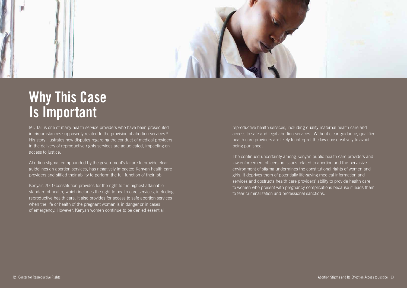

## **Why This Case Is Important**

Mr. Tali is one of many health service providers who have been prosecuted in circumstances supposedly related to the provision of abortion services.<sup>8</sup> His story illustrates how disputes regarding the conduct of medical providers in the delivery of reproductive rights services are adjudicated, impacting on access to justice.

Abortion stigma, compounded by the government's failure to provide clear guidelines on abortion services, has negatively impacted Kenyan health care providers and stifled their ability to perform the full function of their job.

Kenya's 2010 constitution provides for the right to the highest attainable standard of health, which includes the right to health care services, including reproductive health care. It also provides for access to safe abortion services when the life or health of the pregnant woman is in danger or in cases of emergency. However, Kenyan women continue to be denied essential

reproductive health services, including quality maternal health care and access to safe and legal abortion services. Without clear guidance, qualified health care providers are likely to interpret the law conservatively to avoid being punished.

The continued uncertainty among Kenyan public health care providers and law enforcement officers on issues related to abortion and the pervasive environment of stigma undermines the constitutional rights of women and girls. It deprives them of potentially life-saving medical information and services and obstructs health care providers' ability to provide health care to women who present with pregnancy complications because it leads them to fear criminalization and professional sanctions.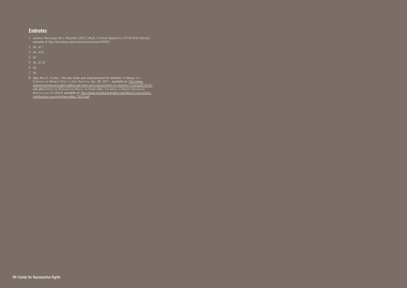- 1 Jackson Namunya Tali v. Republic (2017) eKLR, Criminal Appeal no 173 0f 2016 (Kenya), available at http://kenyalaw.org/caselaw/cases/view/143253.
- 2 *Id.,* at 7.
- 3 *Id.,* at 8.
- 
- 5 *Id.,* at 10.
- 
- 
- 8 *See*, Alice E. Finden, *The law, trials and imprisonment for abortion in Kenya,* Int'l Campaign for Women's Right to Safe Abortion, Apr. 28, 2017 , *available at* http://www. safeabortionwomensright.org/the-law-trials-and-imprisonment-for-abortion-in-kenya/#\_ftn10; s*ee also* Center for Reproductive Rights, In Harm's Way: The Impact of Kenya's Restrictive Abortion Law 15 (2010) *available at* http://www.reproductiverights.org/sites/crr.civicactions. net/files/documents/InHarmsWay\_2010.pdf.

#### **Endnotes**